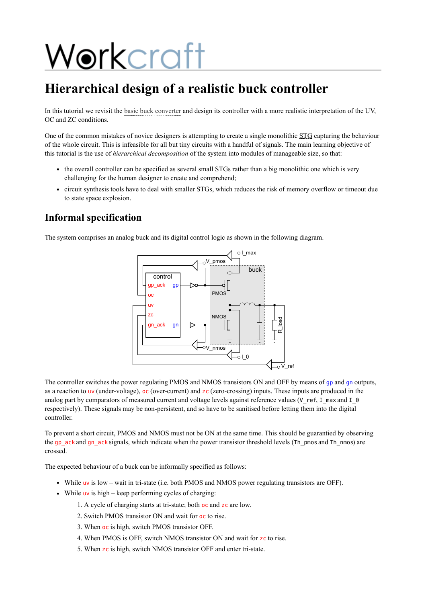# Workcraft

# **Hierarchical design of a realistic buck controller**

In this tutorial we revisit the [basic buck converter](https://www.workcraft.org/tutorial/synthesis/buck/start) and design its controller with a more realistic interpretation of the UV, OC and ZC conditions.

One of the common mistakes of novice designers is attempting to create a single monolithic STG capturing the behaviour of the whole circuit. This is infeasible for all but tiny circuits with a handful of signals. The main learning objective of this tutorial is the use of *hierarchical decomposition* of the system into modules of manageable size, so that:

- the overall controller can be specified as several small STGs rather than a big monolithic one which is very challenging for the human designer to create and comprehend;
- circuit synthesis tools have to deal with smaller STGs, which reduces the risk of memory overflow or timeout due to state space explosion.

# **Informal specification**

The system comprises an analog buck and its digital control logic as shown in the following diagram.



The controller switches the power regulating PMOS and NMOS transistors ON and OFF by means of gp and gn outputs, as a reaction to uv (under-voltage),  $\alpha$  (over-current) and zc (zero-crossing) inputs. These inputs are produced in the analog part by comparators of measured current and voltage levels against reference values ( $V$ <sub>ref, I\_max and I\_0</sub> respectively). These signals may be non-persistent, and so have to be sanitised before letting them into the digital controller.

To prevent a short circuit, PMOS and NMOS must not be ON at the same time. This should be guarantied by observing the gp\_ack and gn\_ack signals, which indicate when the power transistor threshold levels (Th\_pmos and Th\_nmos) are crossed.

The expected behaviour of a buck can be informally specified as follows:

- While uv is low wait in tri-state (i.e. both PMOS and NMOS power regulating transistors are OFF).
- While uv is high keep performing cycles of charging:
	- 1. A cycle of charging starts at tri-state; both oc and zc are low.
	- 2. Switch PMOS transistor ON and wait for oc to rise.
	- 3. When oc is high, switch PMOS transistor OFF.
	- 4. When PMOS is OFF, switch NMOS transistor ON and wait for zc to rise.
	- 5. When zc is high, switch NMOS transistor OFF and enter tri-state.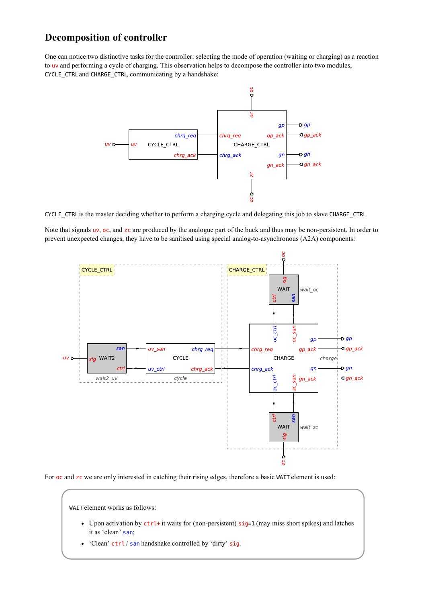# **Decomposition of controller**

One can notice two distinctive tasks for the controller: selecting the mode of operation (waiting or charging) as a reaction to uv and performing a cycle of charging. This observation helps to decompose the controller into two modules, CYCLE\_CTRL and CHARGE\_CTRL, communicating by a handshake:



CYCLE\_CTRL is the master deciding whether to perform a charging cycle and delegating this job to slave CHARGE\_CTRL.

Note that signals uv, oc, and zc are produced by the analogue part of the buck and thus may be non-persistent. In order to prevent unexpected changes, they have to be sanitised using special analog-to-asynchronous (A2A) components:



For oc and zc we are only interested in catching their rising edges, therefore a basic WAIT element is used:

WAIT element works as follows:

- Upon activation by  $\text{ctrl}+$  it waits for (non-persistent)  $sig=1$  (may miss short spikes) and latches it as 'clean' san;
- 'Clean' ctrl / san handshake controlled by 'dirty' sig.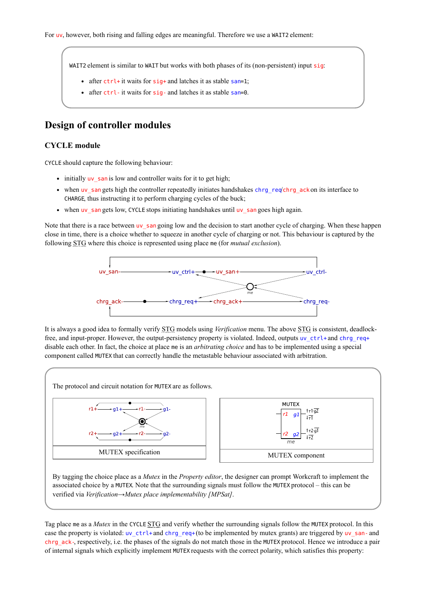WAIT2 element is similar to WAIT but works with both phases of its (non-persistent) input sig:

- after  $ctrl+it$  waits for  $sig+$  and latches it as stable san=1;
- after ctrl- it waits for sig- and latches it as stable san=0.

# **Design of controller modules**

#### **CYCLE module**

CYCLE should capture the following behaviour:

- initially uv san is low and controller waits for it to get high;
- when uv\_san gets high the controller repeatedly initiates handshakes chrg\_req'chrg\_ack on its interface to CHARGE, thus instructing it to perform charging cycles of the buck;
- when uv\_san gets low, CYCLE stops initiating handshakes until uv\_san goes high again.

Note that there is a race between uv san going low and the decision to start another cycle of charging. When these happen close in time, there is a choice whether to squeeze in another cycle of charging or not. This behaviour is captured by the following STG where this choice is represented using place me (for *mutual exclusion*).



It is always a good idea to formally verify STG models using *Verification* menu. The above STG is consistent, deadlockfree, and input-proper. However, the output-persistency property is violated. Indeed, outputs uv\_ctrl+ and chrg\_req+ disable each other. In fact, the choice at place me is an *arbitrating choice* and has to be implemented using a special component called MUTEX that can correctly handle the metastable behaviour associated with arbitration.



By tagging the choice place as a *Mutex* in the *Property editor*, the designer can prompt Workcraft to implement the associated choice by a MUTEX. Note that the surrounding signals must follow the MUTEX protocol – this can be verified via *Verification*→*Mutex place implementability [MPSat]*.

Tag place me as a *Mutex* in the CYCLE STG and verify whether the surrounding signals follow the MUTEX protocol. In this case the property is violated:  $uv_c$ trl+ and chrg\_req+ (to be implemented by mutex grants) are triggered by uv\_san- and chrg\_ack-, respectively, i.e. the phases of the signals do not match those in the MUTEX protocol. Hence we introduce a pair of internal signals which explicitly implement MUTEX requests with the correct polarity, which satisfies this property: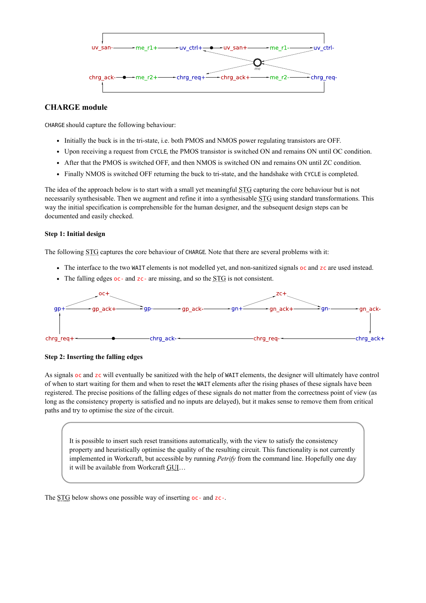

#### **CHARGE module**

CHARGE should capture the following behaviour:

- Initially the buck is in the tri-state, i.e. both PMOS and NMOS power regulating transistors are OFF.
- Upon receiving a request from CYCLE, the PMOS transistor is switched ON and remains ON until OC condition.
- After that the PMOS is switched OFF, and then NMOS is switched ON and remains ON until ZC condition.
- Finally NMOS is switched OFF returning the buck to tri-state, and the handshake with CYCLE is completed.

The idea of the approach below is to start with a small yet meaningful STG capturing the core behaviour but is not necessarily synthesisable. Then we augment and refine it into a synthesisable STG using standard transformations. This way the initial specification is comprehensible for the human designer, and the subsequent design steps can be documented and easily checked.

#### **Step 1: Initial design**

The following STG captures the core behaviour of CHARGE. Note that there are several problems with it:

- The interface to the two WAIT elements is not modelled yet, and non-sanitized signals oc and zc are used instead.
- The falling edges  $oc$  and  $zc$  are missing, and so the STG is not consistent.



**Step 2: Inserting the falling edges**

As signals oc and zc will eventually be sanitized with the help of WAIT elements, the designer will ultimately have control of when to start waiting for them and when to reset the WAIT elements after the rising phases of these signals have been registered. The precise positions of the falling edges of these signals do not matter from the correctness point of view (as long as the consistency property is satisfied and no inputs are delayed), but it makes sense to remove them from critical paths and try to optimise the size of the circuit.

It is possible to insert such reset transitions automatically, with the view to satisfy the consistency property and heuristically optimise the quality of the resulting circuit. This functionality is not currently implemented in Workcraft, but accessible by running *Petrify* from the command line. Hopefully one day it will be available from Workcraft GUI…

The STG below shows one possible way of inserting oc- and zc-.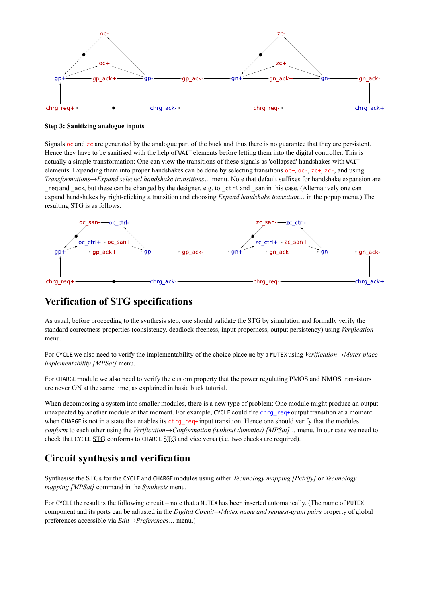

#### **Step 3: Sanitizing analogue inputs**

Signals oc and zc are generated by the analogue part of the buck and thus there is no guarantee that they are persistent. Hence they have to be sanitised with the help of WAIT elements before letting them into the digital controller. This is actually a simple transformation: One can view the transitions of these signals as 'collapsed' handshakes with WAIT elements. Expanding them into proper handshakes can be done by selecting transitions oc+, oc-, zc+, zc-, and using *Transformations*→*Expand selected handshake transitions…* menu. Note that default suffixes for handshake expansion are req and  $\alpha$ ck, but these can be changed by the designer, e.g. to  $\cot \alpha$  and  $\sin \alpha$  in this case. (Alternatively one can expand handshakes by right-clicking a transition and choosing *Expand handshake transition…* in the popup menu.) The resulting STG is as follows:



## **Verification of STG specifications**

As usual, before proceeding to the synthesis step, one should validate the STG by simulation and formally verify the standard correctness properties (consistency, deadlock freeness, input properness, output persistency) using *Verification* menu.

For CYCLE we also need to verify the implementability of the choice place me by a MUTEX using *Verification*→*Mutex place implementability [MPSat]* menu.

For CHARGE module we also need to verify the custom property that the power regulating PMOS and NMOS transistors are never ON at the same time, as explained in [basic buck tutorial](https://www.workcraft.org/tutorial/synthesis/buck/start).

When decomposing a system into smaller modules, there is a new type of problem: One module might produce an output unexpected by another module at that moment. For example, CYCLE could fire chrg\_req+ output transition at a moment when CHARGE is not in a state that enables its chrg\_req+ input transition. Hence one should verify that the modules *conform* to each other using the *Verification*→*Conformation (without dummies) [MPSat]…* menu. In our case we need to check that CYCLE STG conforms to CHARGE STG and vice versa (i.e. two checks are required).

### **Circuit synthesis and verification**

Synthesise the STGs for the CYCLE and CHARGE modules using either *Technology mapping [Petrify]* or *Technology mapping [MPSat]* command in the *Synthesis* menu.

For CYCLE the result is the following circuit – note that a MUTEX has been inserted automatically. (The name of MUTEX component and its ports can be adjusted in the *Digital Circuit*→*Mutex name and request-grant pairs* property of global preferences accessible via *Edit*→*Preferences…* menu.)